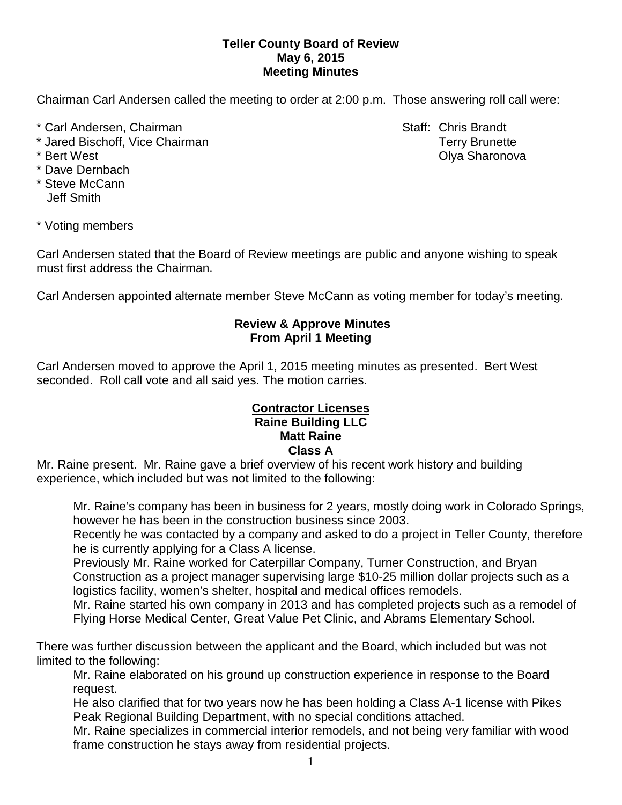### **Teller County Board of Review May 6, 2015 Meeting Minutes**

Chairman Carl Andersen called the meeting to order at 2:00 p.m. Those answering roll call were:

- \* Carl Andersen, Chairman Staff: Chris Brandt
- \* Jared Bischoff, Vice Chairman Terry Brunette
- 
- \* Dave Dernbach
- \* Steve McCann Jeff Smith

\* Bert West **Contract Contract Contract Contract Contract Contract Contract Contract Contract Contract Contract Contract Contract Contract Contract Contract Contract Contract Contract Contract Contract Contract Contract Co** 

\* Voting members

Carl Andersen stated that the Board of Review meetings are public and anyone wishing to speak must first address the Chairman.

Carl Andersen appointed alternate member Steve McCann as voting member for today's meeting.

#### **Review & Approve Minutes From April 1 Meeting**

Carl Andersen moved to approve the April 1, 2015 meeting minutes as presented. Bert West seconded.Roll call vote and all said yes. The motion carries.

## **Raine Building LLC Contractor Licenses Matt Raine Class A**

Mr. Raine present. Mr. Raine gave a brief overview of his recent work history and building experience, which included but was not limited to the following:

Mr. Raine's company has been in business for 2 years, mostly doing work in Colorado Springs, however he has been in the construction business since 2003.

Recently he was contacted by a company and asked to do a project in Teller County, therefore he is currently applying for a Class A license.

Previously Mr. Raine worked for Caterpillar Company, Turner Construction, and Bryan Construction as a project manager supervising large \$10-25 million dollar projects such as a logistics facility, women's shelter, hospital and medical offices remodels.

Mr. Raine started his own company in 2013 and has completed projects such as a remodel of Flying Horse Medical Center, Great Value Pet Clinic, and Abrams Elementary School.

There was further discussion between the applicant and the Board, which included but was not limited to the following:

Mr. Raine elaborated on his ground up construction experience in response to the Board request.

He also clarified that for two years now he has been holding a Class A-1 license with Pikes Peak Regional Building Department, with no special conditions attached.

Mr. Raine specializes in commercial interior remodels, and not being very familiar with wood frame construction he stays away from residential projects.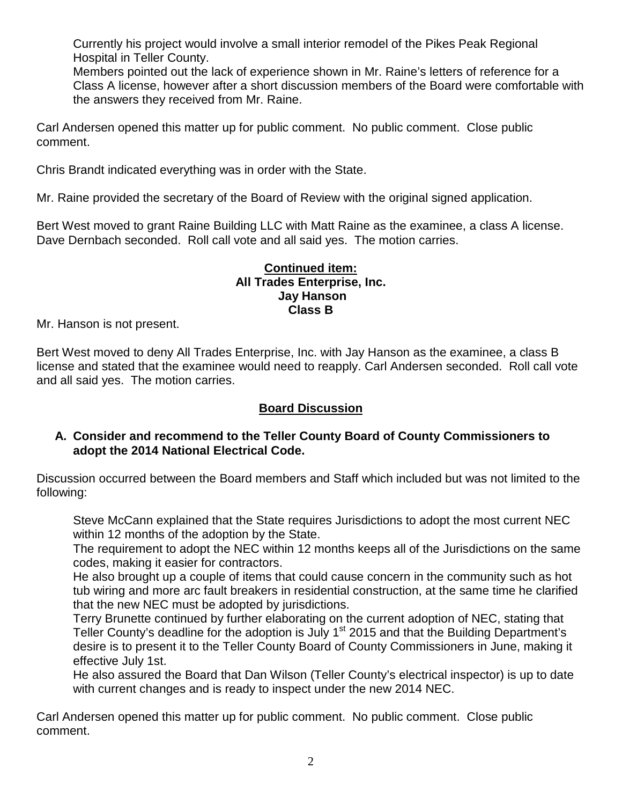Currently his project would involve a small interior remodel of the Pikes Peak Regional Hospital in Teller County.

Members pointed out the lack of experience shown in Mr. Raine's letters of reference for a Class A license, however after a short discussion members of the Board were comfortable with the answers they received from Mr. Raine.

Carl Andersen opened this matter up for public comment. No public comment. Close public comment.

Chris Brandt indicated everything was in order with the State.

Mr. Raine provided the secretary of the Board of Review with the original signed application.

Bert West moved to grant Raine Building LLC with Matt Raine as the examinee, a class A license. Dave Dernbach seconded. Roll call vote and all said yes. The motion carries.

#### **Continued item: All Trades Enterprise, Inc. Jay Hanson Class B**

Mr. Hanson is not present.

Bert West moved to deny All Trades Enterprise, Inc. with Jay Hanson as the examinee, a class B license and stated that the examinee would need to reapply. Carl Andersen seconded. Roll call vote and all said yes. The motion carries.

# **Board Discussion**

## **A. Consider and recommend to the Teller County Board of County Commissioners to adopt the 2014 National Electrical Code.**

Discussion occurred between the Board members and Staff which included but was not limited to the following:

Steve McCann explained that the State requires Jurisdictions to adopt the most current NEC within 12 months of the adoption by the State.

The requirement to adopt the NEC within 12 months keeps all of the Jurisdictions on the same codes, making it easier for contractors.

He also brought up a couple of items that could cause concern in the community such as hot tub wiring and more arc fault breakers in residential construction, at the same time he clarified that the new NEC must be adopted by jurisdictions.

Terry Brunette continued by further elaborating on the current adoption of NEC, stating that Teller County's deadline for the adoption is July 1<sup>st</sup> 2015 and that the Building Department's desire is to present it to the Teller County Board of County Commissioners in June, making it effective July 1st.

He also assured the Board that Dan Wilson (Teller County's electrical inspector) is up to date with current changes and is ready to inspect under the new 2014 NEC.

Carl Andersen opened this matter up for public comment. No public comment. Close public comment.